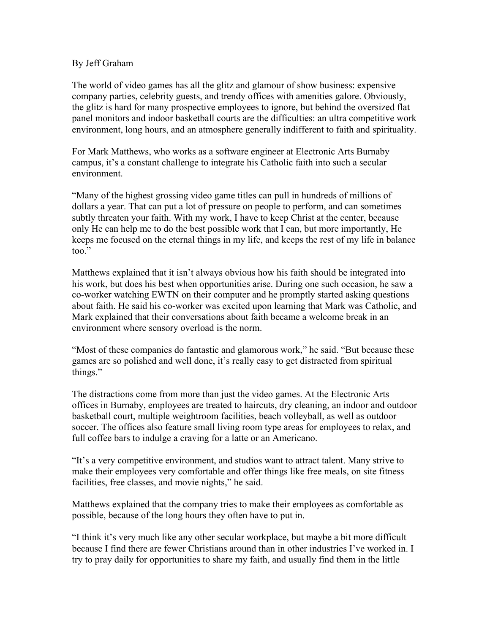## By Jeff Graham

The world of video games has all the glitz and glamour of show business: expensive company parties, celebrity guests, and trendy offices with amenities galore. Obviously, the glitz is hard for many prospective employees to ignore, but behind the oversized flat panel monitors and indoor basketball courts are the difficulties: an ultra competitive work environment, long hours, and an atmosphere generally indifferent to faith and spirituality.

For Mark Matthews, who works as a software engineer at Electronic Arts Burnaby campus, it's a constant challenge to integrate his Catholic faith into such a secular environment.

"Many of the highest grossing video game titles can pull in hundreds of millions of dollars a year. That can put a lot of pressure on people to perform, and can sometimes subtly threaten your faith. With my work, I have to keep Christ at the center, because only He can help me to do the best possible work that I can, but more importantly, He keeps me focused on the eternal things in my life, and keeps the rest of my life in balance too."

Matthews explained that it isn't always obvious how his faith should be integrated into his work, but does his best when opportunities arise. During one such occasion, he saw a co-worker watching EWTN on their computer and he promptly started asking questions about faith. He said his co-worker was excited upon learning that Mark was Catholic, and Mark explained that their conversations about faith became a welcome break in an environment where sensory overload is the norm.

"Most of these companies do fantastic and glamorous work," he said. "But because these games are so polished and well done, it's really easy to get distracted from spiritual things."

The distractions come from more than just the video games. At the Electronic Arts offices in Burnaby, employees are treated to haircuts, dry cleaning, an indoor and outdoor basketball court, multiple weightroom facilities, beach volleyball, as well as outdoor soccer. The offices also feature small living room type areas for employees to relax, and full coffee bars to indulge a craving for a latte or an Americano.

"It's a very competitive environment, and studios want to attract talent. Many strive to make their employees very comfortable and offer things like free meals, on site fitness facilities, free classes, and movie nights," he said.

Matthews explained that the company tries to make their employees as comfortable as possible, because of the long hours they often have to put in.

"I think it's very much like any other secular workplace, but maybe a bit more difficult because I find there are fewer Christians around than in other industries I've worked in. I try to pray daily for opportunities to share my faith, and usually find them in the little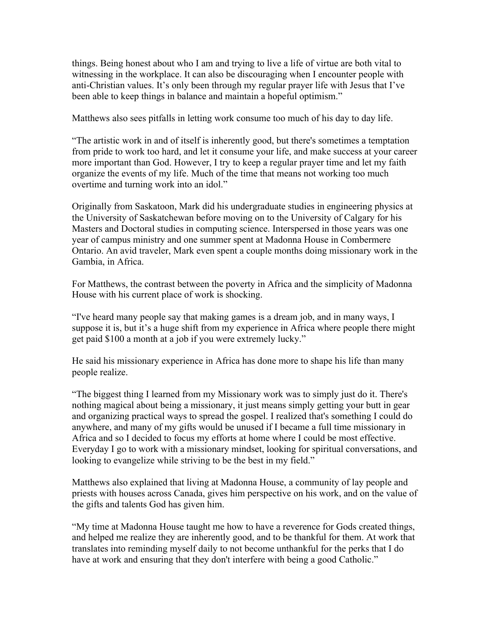things. Being honest about who I am and trying to live a life of virtue are both vital to witnessing in the workplace. It can also be discouraging when I encounter people with anti-Christian values. It's only been through my regular prayer life with Jesus that I've been able to keep things in balance and maintain a hopeful optimism."

Matthews also sees pitfalls in letting work consume too much of his day to day life.

"The artistic work in and of itself is inherently good, but there's sometimes a temptation from pride to work too hard, and let it consume your life, and make success at your career more important than God. However, I try to keep a regular prayer time and let my faith organize the events of my life. Much of the time that means not working too much overtime and turning work into an idol."

Originally from Saskatoon, Mark did his undergraduate studies in engineering physics at the University of Saskatchewan before moving on to the University of Calgary for his Masters and Doctoral studies in computing science. Interspersed in those years was one year of campus ministry and one summer spent at Madonna House in Combermere Ontario. An avid traveler, Mark even spent a couple months doing missionary work in the Gambia, in Africa.

For Matthews, the contrast between the poverty in Africa and the simplicity of Madonna House with his current place of work is shocking.

"I've heard many people say that making games is a dream job, and in many ways, I suppose it is, but it's a huge shift from my experience in Africa where people there might get paid \$100 a month at a job if you were extremely lucky."

He said his missionary experience in Africa has done more to shape his life than many people realize.

"The biggest thing I learned from my Missionary work was to simply just do it. There's nothing magical about being a missionary, it just means simply getting your butt in gear and organizing practical ways to spread the gospel. I realized that's something I could do anywhere, and many of my gifts would be unused if I became a full time missionary in Africa and so I decided to focus my efforts at home where I could be most effective. Everyday I go to work with a missionary mindset, looking for spiritual conversations, and looking to evangelize while striving to be the best in my field."

Matthews also explained that living at Madonna House, a community of lay people and priests with houses across Canada, gives him perspective on his work, and on the value of the gifts and talents God has given him.

"My time at Madonna House taught me how to have a reverence for Gods created things, and helped me realize they are inherently good, and to be thankful for them. At work that translates into reminding myself daily to not become unthankful for the perks that I do have at work and ensuring that they don't interfere with being a good Catholic."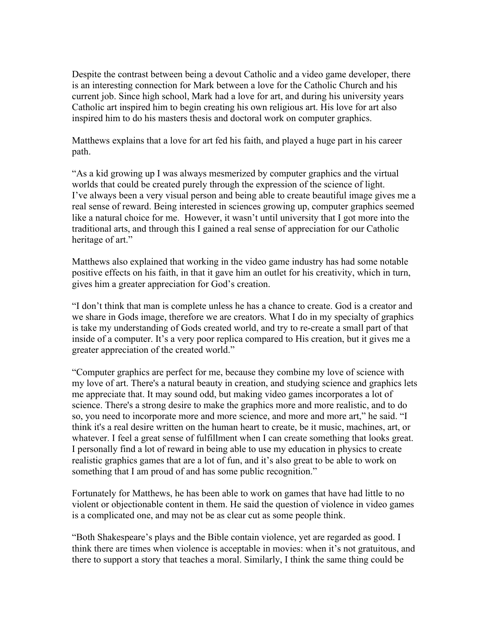Despite the contrast between being a devout Catholic and a video game developer, there is an interesting connection for Mark between a love for the Catholic Church and his current job. Since high school, Mark had a love for art, and during his university years Catholic art inspired him to begin creating his own religious art. His love for art also inspired him to do his masters thesis and doctoral work on computer graphics.

Matthews explains that a love for art fed his faith, and played a huge part in his career path.

"As a kid growing up I was always mesmerized by computer graphics and the virtual worlds that could be created purely through the expression of the science of light. I've always been a very visual person and being able to create beautiful image gives me a real sense of reward. Being interested in sciences growing up, computer graphics seemed like a natural choice for me. However, it wasn't until university that I got more into the traditional arts, and through this I gained a real sense of appreciation for our Catholic heritage of art."

Matthews also explained that working in the video game industry has had some notable positive effects on his faith, in that it gave him an outlet for his creativity, which in turn, gives him a greater appreciation for God's creation.

"I don't think that man is complete unless he has a chance to create. God is a creator and we share in Gods image, therefore we are creators. What I do in my specialty of graphics is take my understanding of Gods created world, and try to re-create a small part of that inside of a computer. It's a very poor replica compared to His creation, but it gives me a greater appreciation of the created world."

"Computer graphics are perfect for me, because they combine my love of science with my love of art. There's a natural beauty in creation, and studying science and graphics lets me appreciate that. It may sound odd, but making video games incorporates a lot of science. There's a strong desire to make the graphics more and more realistic, and to do so, you need to incorporate more and more science, and more and more art," he said. "I think it's a real desire written on the human heart to create, be it music, machines, art, or whatever. I feel a great sense of fulfillment when I can create something that looks great. I personally find a lot of reward in being able to use my education in physics to create realistic graphics games that are a lot of fun, and it's also great to be able to work on something that I am proud of and has some public recognition."

Fortunately for Matthews, he has been able to work on games that have had little to no violent or objectionable content in them. He said the question of violence in video games is a complicated one, and may not be as clear cut as some people think.

"Both Shakespeare's plays and the Bible contain violence, yet are regarded as good. I think there are times when violence is acceptable in movies: when it's not gratuitous, and there to support a story that teaches a moral. Similarly, I think the same thing could be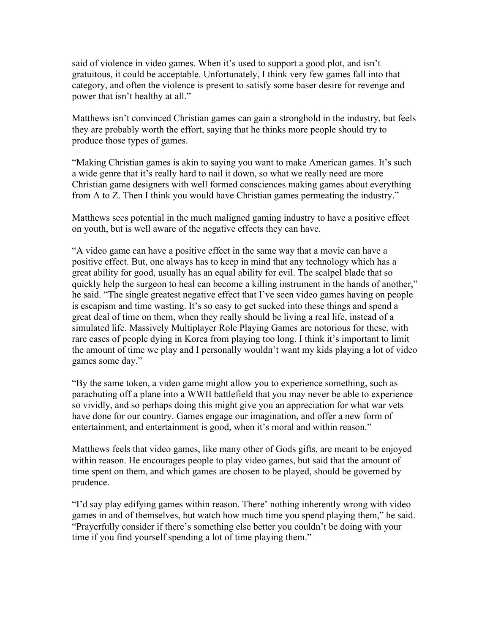said of violence in video games. When it's used to support a good plot, and isn't gratuitous, it could be acceptable. Unfortunately, I think very few games fall into that category, and often the violence is present to satisfy some baser desire for revenge and power that isn't healthy at all."

Matthews isn't convinced Christian games can gain a stronghold in the industry, but feels they are probably worth the effort, saying that he thinks more people should try to produce those types of games.

"Making Christian games is akin to saying you want to make American games. It's such a wide genre that it's really hard to nail it down, so what we really need are more Christian game designers with well formed consciences making games about everything from A to Z. Then I think you would have Christian games permeating the industry."

Matthews sees potential in the much maligned gaming industry to have a positive effect on youth, but is well aware of the negative effects they can have.

"A video game can have a positive effect in the same way that a movie can have a positive effect. But, one always has to keep in mind that any technology which has a great ability for good, usually has an equal ability for evil. The scalpel blade that so quickly help the surgeon to heal can become a killing instrument in the hands of another," he said. "The single greatest negative effect that I've seen video games having on people is escapism and time wasting. It's so easy to get sucked into these things and spend a great deal of time on them, when they really should be living a real life, instead of a simulated life. Massively Multiplayer Role Playing Games are notorious for these, with rare cases of people dying in Korea from playing too long. I think it's important to limit the amount of time we play and I personally wouldn't want my kids playing a lot of video games some day."

"By the same token, a video game might allow you to experience something, such as parachuting off a plane into a WWII battlefield that you may never be able to experience so vividly, and so perhaps doing this might give you an appreciation for what war vets have done for our country. Games engage our imagination, and offer a new form of entertainment, and entertainment is good, when it's moral and within reason."

Matthews feels that video games, like many other of Gods gifts, are meant to be enjoyed within reason. He encourages people to play video games, but said that the amount of time spent on them, and which games are chosen to be played, should be governed by prudence.

"I'd say play edifying games within reason. There' nothing inherently wrong with video games in and of themselves, but watch how much time you spend playing them," he said. "Prayerfully consider if there's something else better you couldn't be doing with your time if you find yourself spending a lot of time playing them."